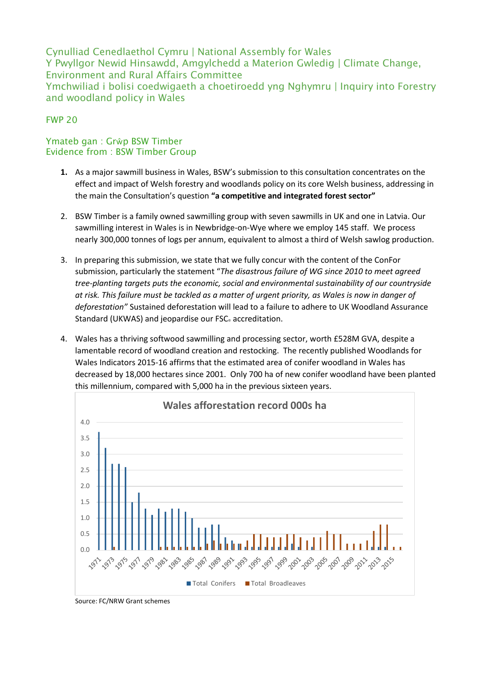Cynulliad Cenedlaethol Cymru | National Assembly for Wales Y Pwyllgor Newid Hinsawdd, Amgylchedd a Materion Gwledig | Climate Change, Environment and Rural Affairs Committee Ymchwiliad i bolisi coedwigaeth a choetiroedd yng Nghymru | Inquiry into Forestry and woodland policy in Wales

## FWP 20

## Ymateb gan : Grŵp BSW Timber Evidence from : BSW Timber Group

- **1.** As a major sawmill business in Wales, BSW's submission to this consultation concentrates on the effect and impact of Welsh forestry and woodlands policy on its core Welsh business, addressing in the main the Consultation's question **"a competitive and integrated forest sector"**
- 2. BSW Timber is a family owned sawmilling group with seven sawmills in UK and one in Latvia. Our sawmilling interest in Wales is in Newbridge-on-Wye where we employ 145 staff. We process nearly 300,000 tonnes of logs per annum, equivalent to almost a third of Welsh sawlog production.
- 3. In preparing this submission, we state that we fully concur with the content of the ConFor submission, particularly the statement "*The disastrous failure of WG since 2010 to meet agreed tree-planting targets puts the economic, social and environmental sustainability of our countryside at risk. This failure must be tackled as a matter of urgent priority, as Wales is now in danger of deforestation"* Sustained deforestation will lead to a failure to adhere to UK Woodland Assurance Standard (UKWAS) and jeopardise our FSC<sup>®</sup> accreditation.
- 4. Wales has a thriving softwood sawmilling and processing sector, worth £528M GVA, despite a lamentable record of woodland creation and restocking. The recently published Woodlands for Wales Indicators 2015-16 affirms that the estimated area of conifer woodland in Wales has decreased by 18,000 hectares since 2001. Only 700 ha of new conifer woodland have been planted this millennium, compared with 5,000 ha in the previous sixteen years.



Source: FC/NRW Grant schemes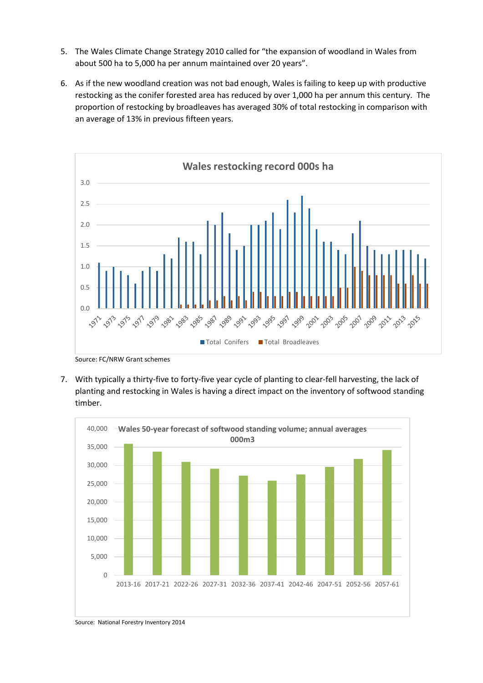- 5. The Wales Climate Change Strategy 2010 called for "the expansion of woodland in Wales from about 500 ha to 5,000 ha per annum maintained over 20 years".
- 6. As if the new woodland creation was not bad enough, Wales is failing to keep up with productive restocking as the conifer forested area has reduced by over 1,000 ha per annum this century. The proportion of restocking by broadleaves has averaged 30% of total restocking in comparison with an average of 13% in previous fifteen years.



Source: FC/NRW Grant schemes

7. With typically a thirty-five to forty-five year cycle of planting to clear-fell harvesting, the lack of planting and restocking in Wales is having a direct impact on the inventory of softwood standing timber.



Source: National Forestry Inventory 2014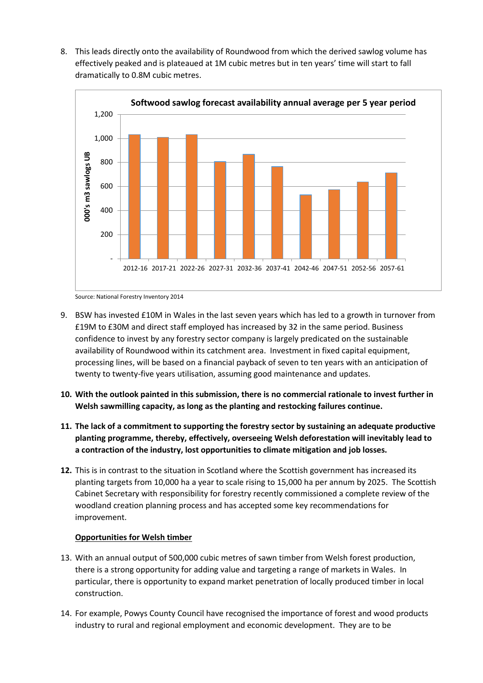8. This leads directly onto the availability of Roundwood from which the derived sawlog volume has effectively peaked and is plateaued at 1M cubic metres but in ten years' time will start to fall dramatically to 0.8M cubic metres.



Source: National Forestry Inventory 2014

- 9. BSW has invested £10M in Wales in the last seven years which has led to a growth in turnover from £19M to £30M and direct staff employed has increased by 32 in the same period. Business confidence to invest by any forestry sector company is largely predicated on the sustainable availability of Roundwood within its catchment area. Investment in fixed capital equipment, processing lines, will be based on a financial payback of seven to ten years with an anticipation of twenty to twenty-five years utilisation, assuming good maintenance and updates.
- **10. With the outlook painted in this submission, there is no commercial rationale to invest further in Welsh sawmilling capacity, as long as the planting and restocking failures continue.**
- **11. The lack of a commitment to supporting the forestry sector by sustaining an adequate productive planting programme, thereby, effectively, overseeing Welsh deforestation will inevitably lead to a contraction of the industry, lost opportunities to climate mitigation and job losses.**
- **12.** This is in contrast to the situation in Scotland where the Scottish government has increased its planting targets from 10,000 ha a year to scale rising to 15,000 ha per annum by 2025. The Scottish Cabinet Secretary with responsibility for forestry recently commissioned a complete review of the woodland creation planning process and has accepted some key recommendations for improvement.

## **Opportunities for Welsh timber**

- 13. With an annual output of 500,000 cubic metres of sawn timber from Welsh forest production, there is a strong opportunity for adding value and targeting a range of markets in Wales. In particular, there is opportunity to expand market penetration of locally produced timber in local construction.
- 14. For example, Powys County Council have recognised the importance of forest and wood products industry to rural and regional employment and economic development. They are to be